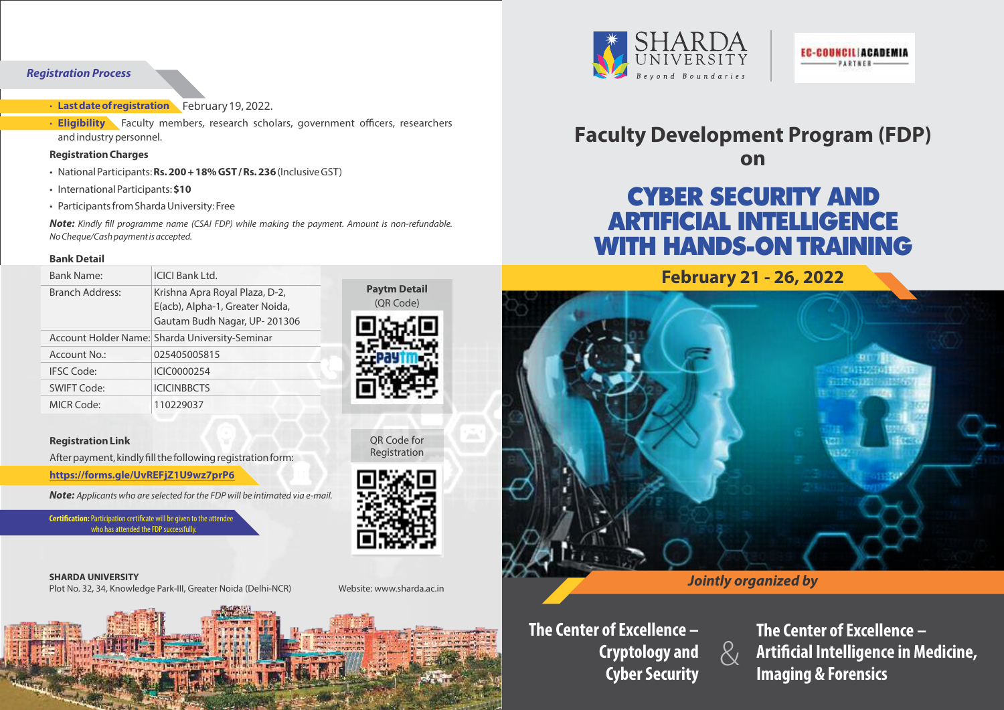## **Registration Process**

### **· Last date of registration** February19, 2022.

**· Eligibility** Faculty members, research scholars, government officers, researchers and industry personnel.

#### **Registration Charges**

- National Participants: **Rs. 200 + 18% GST / Rs. 236**(Inclusive GST)
- International Participants: **\$10**
- Participants from Sharda University: Free

**Note:** Kindly fill programme name (CSAI FDP) while making the payment. Amount is non-refundable. No Cheque/Cash payment is accepted.

#### **Bank Detail**

| <b>Bank Name:</b>      | ICICI Bank I td.                                                                                  |
|------------------------|---------------------------------------------------------------------------------------------------|
| <b>Branch Address:</b> | Krishna Apra Royal Plaza, D-2,<br>E(acb), Alpha-1, Greater Noida,<br>Gautam Budh Nagar, UP-201306 |
|                        | Account Holder Name: Sharda University-Seminar                                                    |
| Account No.:           | 025405005815                                                                                      |
| <b>IFSC Code:</b>      | ICIC0000254                                                                                       |
| <b>SWIFT Code:</b>     | <b>ICICINBBCTS</b>                                                                                |
| <b>MICR Code:</b>      | 110229037                                                                                         |

#### **Registration Link**

After payment, kindly fill the following registration form:

**https://forms.gle/UvREFjZ1U9wz7prP6**

**Note:** Applicants who are selected for the FDP will be intimated via e-mail.

**Certification:** Participation certificate will be given to the attende who has attended the FDP successfully

#### **SHARDA UNIVERSITY** Plot No. 32, 34, Knowledge Park-III, Greater Noida (Delhi-NCR)

Website: www.sharda.ac.in

**Paytm Detail**  (QR Code)

OR Code for Registration





## **Faculty Development Program (FDP) on**

# CYBER SECURITY AND ARTIFICIAL INTELLIGENCE WITH HANDS-ON TRAINING



## **Jointly organized by**

 $\&$ 

**The Center of Excellence – Cryptology and Cyber Security**

**The Center of Excellence – Artificial Intelligence in Medicine, Imaging & Forensics**